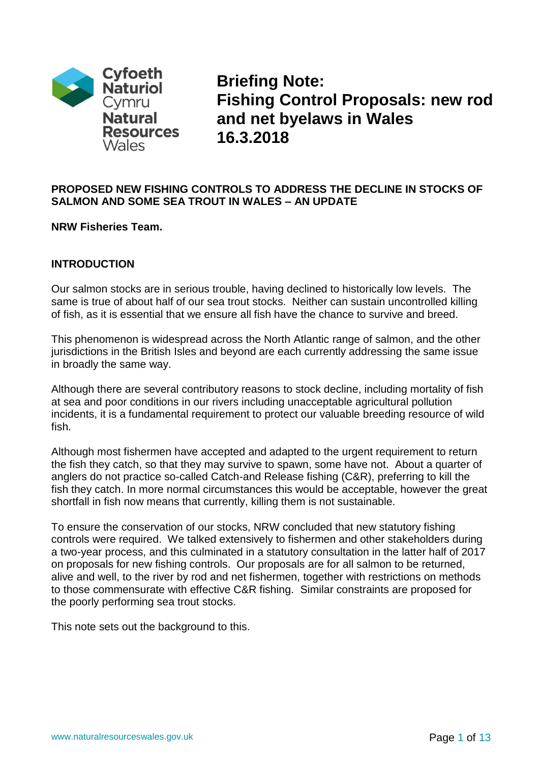

**Briefing Note: Fishing Control Proposals: new rod and net byelaws in Wales 16.3.2018**

### **PROPOSED NEW FISHING CONTROLS TO ADDRESS THE DECLINE IN STOCKS OF SALMON AND SOME SEA TROUT IN WALES – AN UPDATE**

### **NRW Fisheries Team.**

## **INTRODUCTION**

Our salmon stocks are in serious trouble, having declined to historically low levels. The same is true of about half of our sea trout stocks. Neither can sustain uncontrolled killing of fish, as it is essential that we ensure all fish have the chance to survive and breed.

This phenomenon is widespread across the North Atlantic range of salmon, and the other jurisdictions in the British Isles and beyond are each currently addressing the same issue in broadly the same way.

Although there are several contributory reasons to stock decline, including mortality of fish at sea and poor conditions in our rivers including unacceptable agricultural pollution incidents, it is a fundamental requirement to protect our valuable breeding resource of wild fish.

Although most fishermen have accepted and adapted to the urgent requirement to return the fish they catch, so that they may survive to spawn, some have not. About a quarter of anglers do not practice so-called Catch-and Release fishing (C&R), preferring to kill the fish they catch. In more normal circumstances this would be acceptable, however the great shortfall in fish now means that currently, killing them is not sustainable.

To ensure the conservation of our stocks, NRW concluded that new statutory fishing controls were required. We talked extensively to fishermen and other stakeholders during a two-year process, and this culminated in a statutory consultation in the latter half of 2017 on proposals for new fishing controls. Our proposals are for all salmon to be returned, alive and well, to the river by rod and net fishermen, together with restrictions on methods to those commensurate with effective C&R fishing. Similar constraints are proposed for the poorly performing sea trout stocks.

This note sets out the background to this.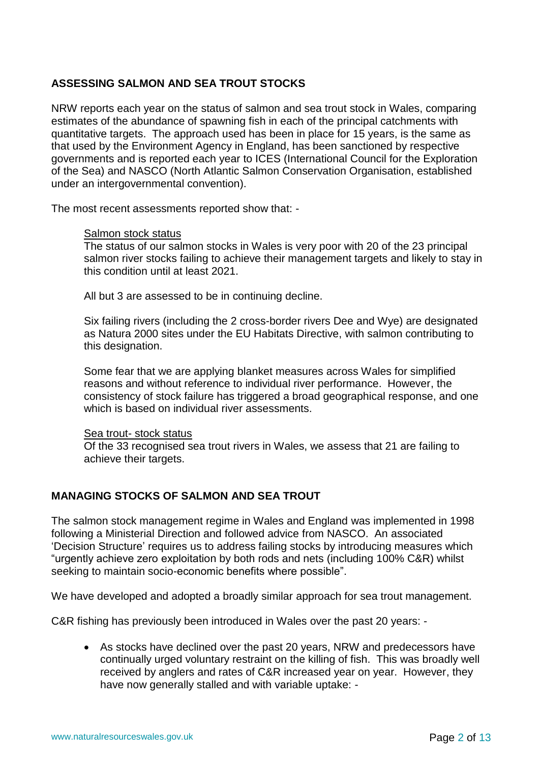## **ASSESSING SALMON AND SEA TROUT STOCKS**

NRW reports each year on the status of salmon and sea trout stock in Wales, comparing estimates of the abundance of spawning fish in each of the principal catchments with quantitative targets. The approach used has been in place for 15 years, is the same as that used by the Environment Agency in England, has been sanctioned by respective governments and is reported each year to ICES (International Council for the Exploration of the Sea) and NASCO (North Atlantic Salmon Conservation Organisation, established under an intergovernmental convention).

The most recent assessments reported show that: -

#### Salmon stock status

The status of our salmon stocks in Wales is very poor with 20 of the 23 principal salmon river stocks failing to achieve their management targets and likely to stay in this condition until at least 2021.

All but 3 are assessed to be in continuing decline.

Six failing rivers (including the 2 cross-border rivers Dee and Wye) are designated as Natura 2000 sites under the EU Habitats Directive, with salmon contributing to this designation.

Some fear that we are applying blanket measures across Wales for simplified reasons and without reference to individual river performance. However, the consistency of stock failure has triggered a broad geographical response, and one which is based on individual river assessments.

#### Sea trout- stock status

Of the 33 recognised sea trout rivers in Wales, we assess that 21 are failing to achieve their targets.

# **MANAGING STOCKS OF SALMON AND SEA TROUT**

The salmon stock management regime in Wales and England was implemented in 1998 following a Ministerial Direction and followed advice from NASCO. An associated 'Decision Structure' requires us to address failing stocks by introducing measures which "urgently achieve zero exploitation by both rods and nets (including 100% C&R) whilst seeking to maintain socio-economic benefits where possible".

We have developed and adopted a broadly similar approach for sea trout management.

C&R fishing has previously been introduced in Wales over the past 20 years: -

• As stocks have declined over the past 20 years, NRW and predecessors have continually urged voluntary restraint on the killing of fish. This was broadly well received by anglers and rates of C&R increased year on year. However, they have now generally stalled and with variable uptake: -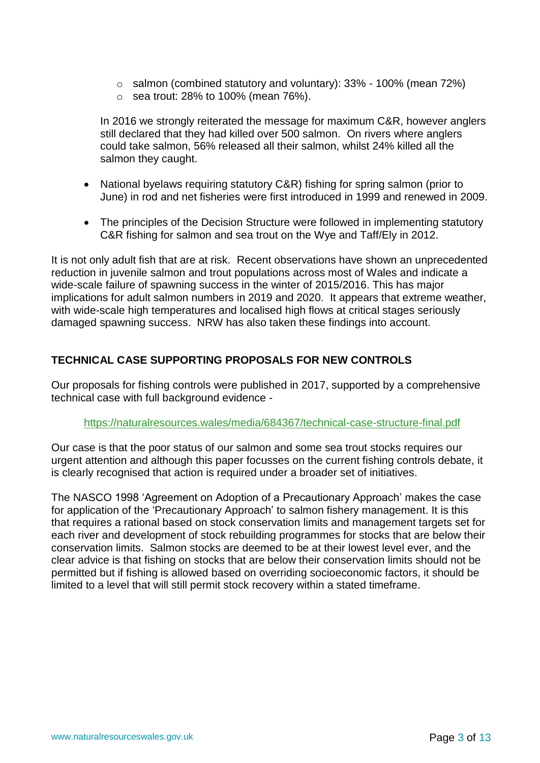- o salmon (combined statutory and voluntary): 33% 100% (mean 72%)
- $\circ$  sea trout: 28% to 100% (mean 76%).

In 2016 we strongly reiterated the message for maximum C&R, however anglers still declared that they had killed over 500 salmon. On rivers where anglers could take salmon, 56% released all their salmon, whilst 24% killed all the salmon they caught.

- National byelaws requiring statutory C&R) fishing for spring salmon (prior to June) in rod and net fisheries were first introduced in 1999 and renewed in 2009.
- The principles of the Decision Structure were followed in implementing statutory C&R fishing for salmon and sea trout on the Wye and Taff/Ely in 2012.

It is not only adult fish that are at risk. Recent observations have shown an unprecedented reduction in juvenile salmon and trout populations across most of Wales and indicate a wide-scale failure of spawning success in the winter of 2015/2016. This has major implications for adult salmon numbers in 2019 and 2020. It appears that extreme weather, with wide-scale high temperatures and localised high flows at critical stages seriously damaged spawning success. NRW has also taken these findings into account.

# **TECHNICAL CASE SUPPORTING PROPOSALS FOR NEW CONTROLS**

Our proposals for fishing controls were published in 2017, supported by a comprehensive technical case with full background evidence -

### <https://naturalresources.wales/media/684367/technical-case-structure-final.pdf>

Our case is that the poor status of our salmon and some sea trout stocks requires our urgent attention and although this paper focusses on the current fishing controls debate, it is clearly recognised that action is required under a broader set of initiatives.

The NASCO 1998 'Agreement on Adoption of a Precautionary Approach' makes the case for application of the 'Precautionary Approach' to salmon fishery management. It is this that requires a rational based on stock conservation limits and management targets set for each river and development of stock rebuilding programmes for stocks that are below their conservation limits. Salmon stocks are deemed to be at their lowest level ever, and the clear advice is that fishing on stocks that are below their conservation limits should not be permitted but if fishing is allowed based on overriding socioeconomic factors, it should be limited to a level that will still permit stock recovery within a stated timeframe.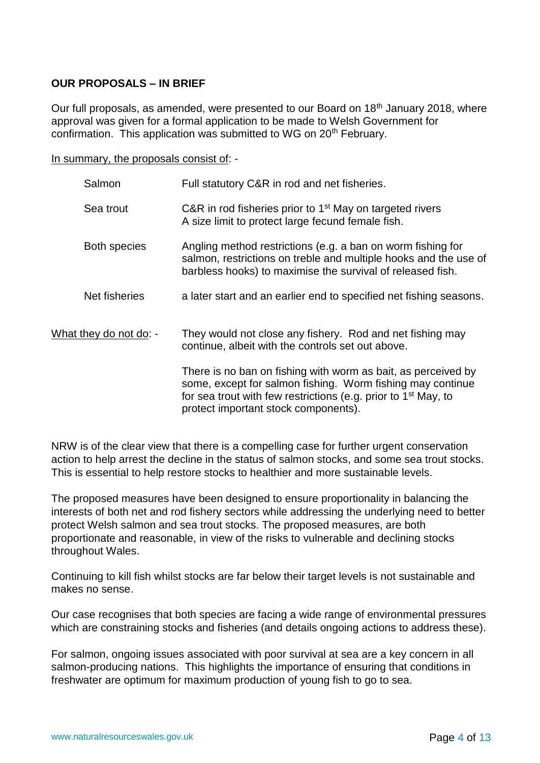### **OUR PROPOSALS – IN BRIEF**

Our full proposals, as amended, were presented to our Board on 18<sup>th</sup> January 2018, where approval was given for a formal application to be made to Welsh Government for confirmation. This application was submitted to WG on 20<sup>th</sup> February.

In summary, the proposals consist of: -

| Salmon                 | Full statutory C&R in rod and net fisheries.                                                                                                                                                                                                      |
|------------------------|---------------------------------------------------------------------------------------------------------------------------------------------------------------------------------------------------------------------------------------------------|
| Sea trout              | C&R in rod fisheries prior to $1st$ May on targeted rivers<br>A size limit to protect large fecund female fish.                                                                                                                                   |
| <b>Both species</b>    | Angling method restrictions (e.g. a ban on worm fishing for<br>salmon, restrictions on treble and multiple hooks and the use of<br>barbless hooks) to maximise the survival of released fish.                                                     |
| Net fisheries          | a later start and an earlier end to specified net fishing seasons.                                                                                                                                                                                |
| What they do not do: - | They would not close any fishery. Rod and net fishing may<br>continue, albeit with the controls set out above.                                                                                                                                    |
|                        | There is no ban on fishing with worm as bait, as perceived by<br>some, except for salmon fishing. Worm fishing may continue<br>for sea trout with few restrictions (e.g. prior to 1 <sup>st</sup> May, to<br>protect important stock components). |

NRW is of the clear view that there is a compelling case for further urgent conservation action to help arrest the decline in the status of salmon stocks, and some sea trout stocks. This is essential to help restore stocks to healthier and more sustainable levels.

The proposed measures have been designed to ensure proportionality in balancing the interests of both net and rod fishery sectors while addressing the underlying need to better protect Welsh salmon and sea trout stocks. The proposed measures, are both proportionate and reasonable, in view of the risks to vulnerable and declining stocks throughout Wales.

Continuing to kill fish whilst stocks are far below their target levels is not sustainable and makes no sense.

Our case recognises that both species are facing a wide range of environmental pressures which are constraining stocks and fisheries (and details ongoing actions to address these).

For salmon, ongoing issues associated with poor survival at sea are a key concern in all salmon-producing nations. This highlights the importance of ensuring that conditions in freshwater are optimum for maximum production of young fish to go to sea.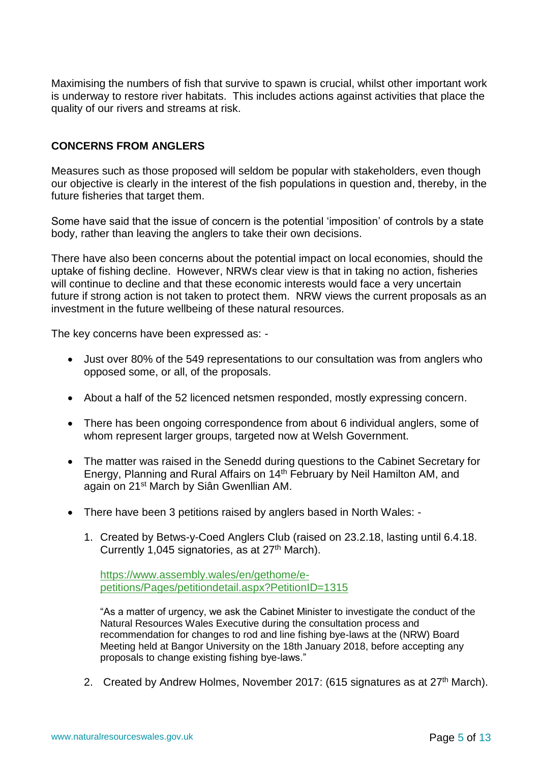Maximising the numbers of fish that survive to spawn is crucial, whilst other important work is underway to restore river habitats. This includes actions against activities that place the quality of our rivers and streams at risk.

### **CONCERNS FROM ANGLERS**

Measures such as those proposed will seldom be popular with stakeholders, even though our objective is clearly in the interest of the fish populations in question and, thereby, in the future fisheries that target them.

Some have said that the issue of concern is the potential 'imposition' of controls by a state body, rather than leaving the anglers to take their own decisions.

There have also been concerns about the potential impact on local economies, should the uptake of fishing decline. However, NRWs clear view is that in taking no action, fisheries will continue to decline and that these economic interests would face a very uncertain future if strong action is not taken to protect them. NRW views the current proposals as an investment in the future wellbeing of these natural resources.

The key concerns have been expressed as: -

- Just over 80% of the 549 representations to our consultation was from anglers who opposed some, or all, of the proposals.
- About a half of the 52 licenced netsmen responded, mostly expressing concern.
- There has been ongoing correspondence from about 6 individual anglers, some of whom represent larger groups, targeted now at Welsh Government.
- The matter was raised in the Senedd during questions to the Cabinet Secretary for Energy, Planning and Rural Affairs on 14<sup>th</sup> February by Neil Hamilton AM, and again on 21st March by Siân Gwenllian AM.
- There have been 3 petitions raised by anglers based in North Wales:
	- 1. Created by Betws-y-Coed Anglers Club (raised on 23.2.18, lasting until 6.4.18. Currently 1,045 signatories, as at  $27<sup>th</sup>$  March).

[https://www.assembly.wales/en/gethome/e](https://www.assembly.wales/en/gethome/e-petitions/Pages/petitiondetail.aspx?PetitionID=1315)[petitions/Pages/petitiondetail.aspx?PetitionID=1315](https://www.assembly.wales/en/gethome/e-petitions/Pages/petitiondetail.aspx?PetitionID=1315)

"As a matter of urgency, we ask the Cabinet Minister to investigate the conduct of the Natural Resources Wales Executive during the consultation process and recommendation for changes to rod and line fishing bye-laws at the (NRW) Board Meeting held at Bangor University on the 18th January 2018, before accepting any proposals to change existing fishing bye-laws."

2. Created by Andrew Holmes, November 2017: (615 signatures as at 27<sup>th</sup> March).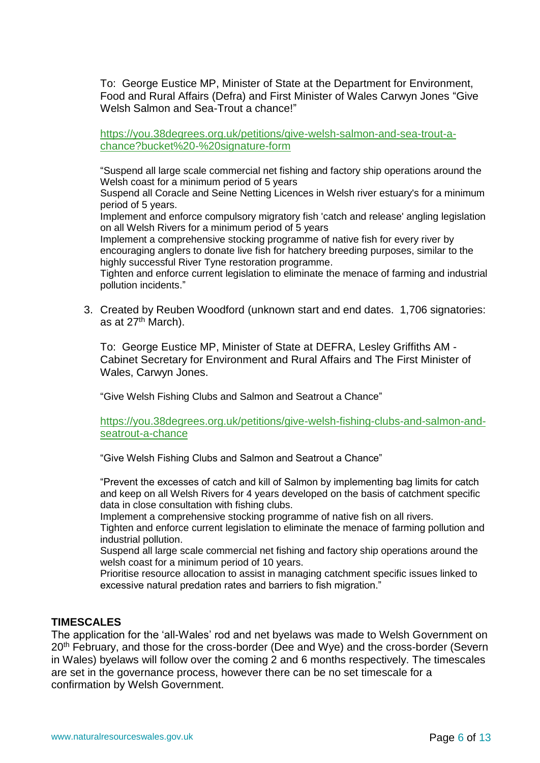To: George Eustice MP, Minister of State at the Department for Environment, Food and Rural Affairs (Defra) and First Minister of Wales Carwyn Jones "Give Welsh Salmon and Sea-Trout a chance!"

[https://you.38degrees.org.uk/petitions/give-welsh-salmon-and-sea-trout-a](https://you.38degrees.org.uk/petitions/give-welsh-salmon-and-sea-trout-a-chance?bucket%20-%20signature-form)[chance?bucket%20-%20signature-form](https://you.38degrees.org.uk/petitions/give-welsh-salmon-and-sea-trout-a-chance?bucket%20-%20signature-form)

"Suspend all large scale commercial net fishing and factory ship operations around the Welsh coast for a minimum period of 5 years

Suspend all Coracle and Seine Netting Licences in Welsh river estuary's for a minimum period of 5 years.

Implement and enforce compulsory migratory fish 'catch and release' angling legislation on all Welsh Rivers for a minimum period of 5 years

Implement a comprehensive stocking programme of native fish for every river by encouraging anglers to donate live fish for hatchery breeding purposes, similar to the highly successful River Tyne restoration programme.

Tighten and enforce current legislation to eliminate the menace of farming and industrial pollution incidents."

3. Created by Reuben Woodford (unknown start and end dates. 1,706 signatories: as at 27<sup>th</sup> March).

To: George Eustice MP, Minister of State at DEFRA, Lesley Griffiths AM - Cabinet Secretary for Environment and Rural Affairs and The First Minister of Wales, Carwyn Jones.

"Give Welsh Fishing Clubs and Salmon and Seatrout a Chance"

[https://you.38degrees.org.uk/petitions/give-welsh-fishing-clubs-and-salmon-and](https://you.38degrees.org.uk/petitions/give-welsh-fishing-clubs-and-salmon-and-seatrout-a-chance)[seatrout-a-chance](https://you.38degrees.org.uk/petitions/give-welsh-fishing-clubs-and-salmon-and-seatrout-a-chance)

"Give Welsh Fishing Clubs and Salmon and Seatrout a Chance"

"Prevent the excesses of catch and kill of Salmon by implementing bag limits for catch and keep on all Welsh Rivers for 4 years developed on the basis of catchment specific data in close consultation with fishing clubs.

Implement a comprehensive stocking programme of native fish on all rivers.

Tighten and enforce current legislation to eliminate the menace of farming pollution and industrial pollution.

Suspend all large scale commercial net fishing and factory ship operations around the welsh coast for a minimum period of 10 years.

Prioritise resource allocation to assist in managing catchment specific issues linked to excessive natural predation rates and barriers to fish migration."

### **TIMESCALES**

The application for the 'all-Wales' rod and net byelaws was made to Welsh Government on 20<sup>th</sup> February, and those for the cross-border (Dee and Wye) and the cross-border (Severn in Wales) byelaws will follow over the coming 2 and 6 months respectively. The timescales are set in the governance process, however there can be no set timescale for a confirmation by Welsh Government.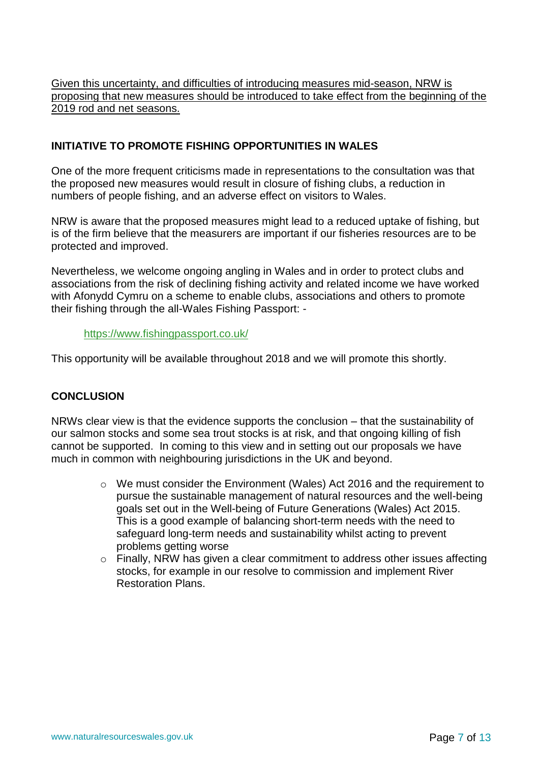Given this uncertainty, and difficulties of introducing measures mid-season, NRW is proposing that new measures should be introduced to take effect from the beginning of the 2019 rod and net seasons.

### **INITIATIVE TO PROMOTE FISHING OPPORTUNITIES IN WALES**

One of the more frequent criticisms made in representations to the consultation was that the proposed new measures would result in closure of fishing clubs, a reduction in numbers of people fishing, and an adverse effect on visitors to Wales.

NRW is aware that the proposed measures might lead to a reduced uptake of fishing, but is of the firm believe that the measurers are important if our fisheries resources are to be protected and improved.

Nevertheless, we welcome ongoing angling in Wales and in order to protect clubs and associations from the risk of declining fishing activity and related income we have worked with Afonydd Cymru on a scheme to enable clubs, associations and others to promote their fishing through the all-Wales Fishing Passport: -

### <https://www.fishingpassport.co.uk/>

This opportunity will be available throughout 2018 and we will promote this shortly.

### **CONCLUSION**

NRWs clear view is that the evidence supports the conclusion – that the sustainability of our salmon stocks and some sea trout stocks is at risk, and that ongoing killing of fish cannot be supported. In coming to this view and in setting out our proposals we have much in common with neighbouring jurisdictions in the UK and beyond.

- o We must consider the Environment (Wales) Act 2016 and the requirement to pursue the sustainable management of natural resources and the well-being goals set out in the Well-being of Future Generations (Wales) Act 2015. This is a good example of balancing short-term needs with the need to safeguard long-term needs and sustainability whilst acting to prevent problems getting worse
- $\circ$  Finally, NRW has given a clear commitment to address other issues affecting stocks, for example in our resolve to commission and implement River Restoration Plans.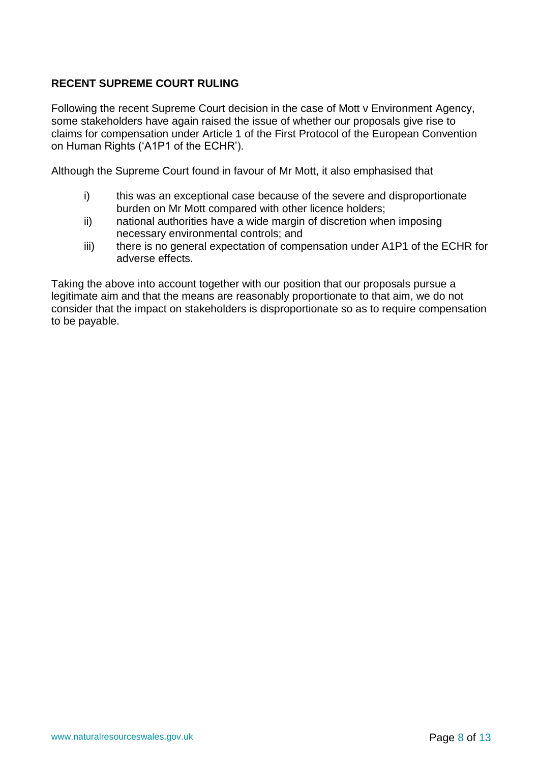## **RECENT SUPREME COURT RULING**

Following the recent Supreme Court decision in the case of Mott v Environment Agency, some stakeholders have again raised the issue of whether our proposals give rise to claims for compensation under Article 1 of the First Protocol of the European Convention on Human Rights ('A1P1 of the ECHR').

Although the Supreme Court found in favour of Mr Mott, it also emphasised that

- i) this was an exceptional case because of the severe and disproportionate burden on Mr Mott compared with other licence holders;
- ii) national authorities have a wide margin of discretion when imposing necessary environmental controls; and
- iii) there is no general expectation of compensation under A1P1 of the ECHR for adverse effects.

Taking the above into account together with our position that our proposals pursue a legitimate aim and that the means are reasonably proportionate to that aim, we do not consider that the impact on stakeholders is disproportionate so as to require compensation to be payable.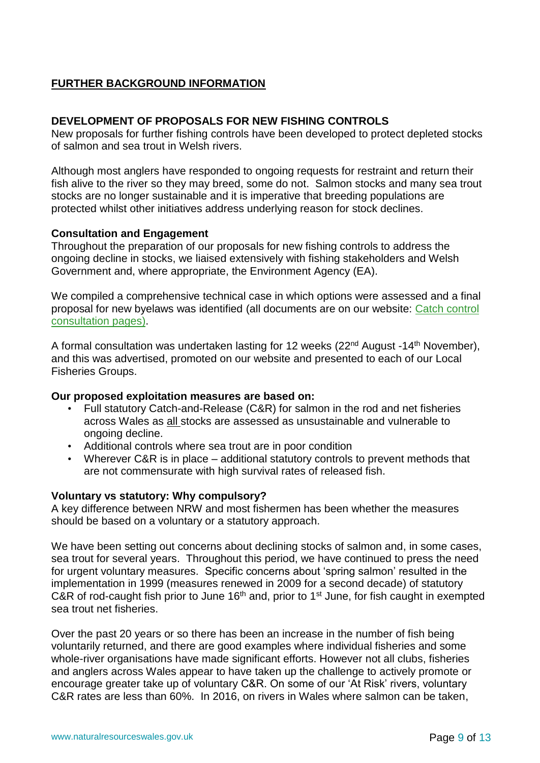# **FURTHER BACKGROUND INFORMATION**

### **DEVELOPMENT OF PROPOSALS FOR NEW FISHING CONTROLS**

New proposals for further fishing controls have been developed to protect depleted stocks of salmon and sea trout in Welsh rivers.

Although most anglers have responded to ongoing requests for restraint and return their fish alive to the river so they may breed, some do not. Salmon stocks and many sea trout stocks are no longer sustainable and it is imperative that breeding populations are protected whilst other initiatives address underlying reason for stock declines.

### **Consultation and Engagement**

Throughout the preparation of our proposals for new fishing controls to address the ongoing decline in stocks, we liaised extensively with fishing stakeholders and Welsh Government and, where appropriate, the Environment Agency (EA).

We compiled a comprehensive technical case in which options were assessed and a final proposal for new byelaws was identified (all documents are on our website: [Catch control](http://naturalresources.wales/guidance-and-advice/business-sectors/fisheries/salmon-and-sea-trout-catch-controls-2017-consultations/?lang=en)  [consultation pages\)](http://naturalresources.wales/guidance-and-advice/business-sectors/fisheries/salmon-and-sea-trout-catch-controls-2017-consultations/?lang=en).

A formal consultation was undertaken lasting for 12 weeks (22<sup>nd</sup> August -14<sup>th</sup> November), and this was advertised, promoted on our website and presented to each of our Local Fisheries Groups.

### **Our proposed exploitation measures are based on:**

- Full statutory Catch-and-Release (C&R) for salmon in the rod and net fisheries across Wales as all stocks are assessed as unsustainable and vulnerable to ongoing decline.
- Additional controls where sea trout are in poor condition
- Wherever C&R is in place additional statutory controls to prevent methods that are not commensurate with high survival rates of released fish.

### **Voluntary vs statutory: Why compulsory?**

A key difference between NRW and most fishermen has been whether the measures should be based on a voluntary or a statutory approach.

We have been setting out concerns about declining stocks of salmon and, in some cases, sea trout for several years. Throughout this period, we have continued to press the need for urgent voluntary measures. Specific concerns about 'spring salmon' resulted in the implementation in 1999 (measures renewed in 2009 for a second decade) of statutory C&R of rod-caught fish prior to June  $16<sup>th</sup>$  and, prior to  $1<sup>st</sup>$  June, for fish caught in exempted sea trout net fisheries.

Over the past 20 years or so there has been an increase in the number of fish being voluntarily returned, and there are good examples where individual fisheries and some whole-river organisations have made significant efforts. However not all clubs, fisheries and anglers across Wales appear to have taken up the challenge to actively promote or encourage greater take up of voluntary C&R. On some of our 'At Risk' rivers, voluntary C&R rates are less than 60%. In 2016, on rivers in Wales where salmon can be taken,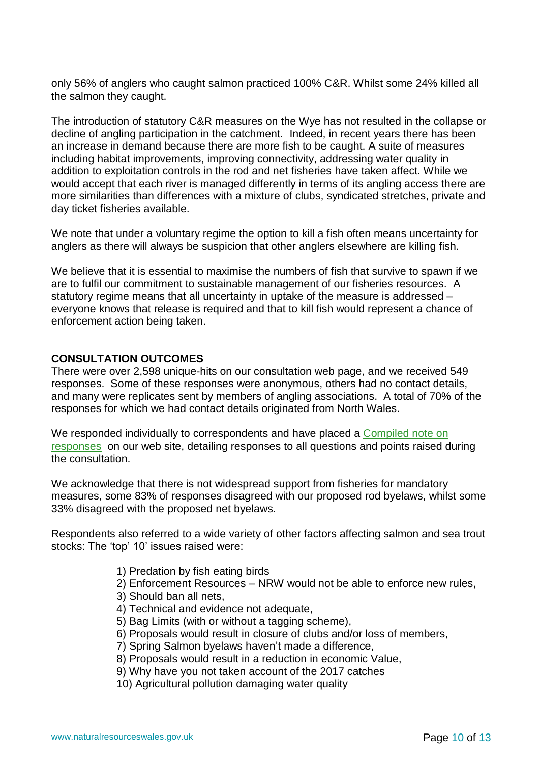only 56% of anglers who caught salmon practiced 100% C&R. Whilst some 24% killed all the salmon they caught.

The introduction of statutory C&R measures on the Wye has not resulted in the collapse or decline of angling participation in the catchment. Indeed, in recent years there has been an increase in demand because there are more fish to be caught. A suite of measures including habitat improvements, improving connectivity, addressing water quality in addition to exploitation controls in the rod and net fisheries have taken affect. While we would accept that each river is managed differently in terms of its angling access there are more similarities than differences with a mixture of clubs, syndicated stretches, private and day ticket fisheries available.

We note that under a voluntary regime the option to kill a fish often means uncertainty for anglers as there will always be suspicion that other anglers elsewhere are killing fish.

We believe that it is essential to maximise the numbers of fish that survive to spawn if we are to fulfil our commitment to sustainable management of our fisheries resources. A statutory regime means that all uncertainty in uptake of the measure is addressed – everyone knows that release is required and that to kill fish would represent a chance of enforcement action being taken.

### **CONSULTATION OUTCOMES**

There were over 2,598 unique-hits on our consultation web page, and we received 549 responses. Some of these responses were anonymous, others had no contact details, and many were replicates sent by members of angling associations. A total of 70% of the responses for which we had contact details originated from North Wales.

We responded individually to correspondents and have placed a [Compiled note on](http://naturalresources.wales/media/684347/180112-generic-theme-response.pdf)  [responses](http://naturalresources.wales/media/684347/180112-generic-theme-response.pdf) on our web site, detailing responses to all questions and points raised during the consultation.

We acknowledge that there is not widespread support from fisheries for mandatory measures, some 83% of responses disagreed with our proposed rod byelaws, whilst some 33% disagreed with the proposed net byelaws.

Respondents also referred to a wide variety of other factors affecting salmon and sea trout stocks: The 'top' 10' issues raised were:

- 1) Predation by fish eating birds
- 2) Enforcement Resources NRW would not be able to enforce new rules,
- 3) Should ban all nets,
- 4) Technical and evidence not adequate,
- 5) Bag Limits (with or without a tagging scheme),
- 6) Proposals would result in closure of clubs and/or loss of members,
- 7) Spring Salmon byelaws haven't made a difference,
- 8) Proposals would result in a reduction in economic Value,
- 9) Why have you not taken account of the 2017 catches
- 10) Agricultural pollution damaging water quality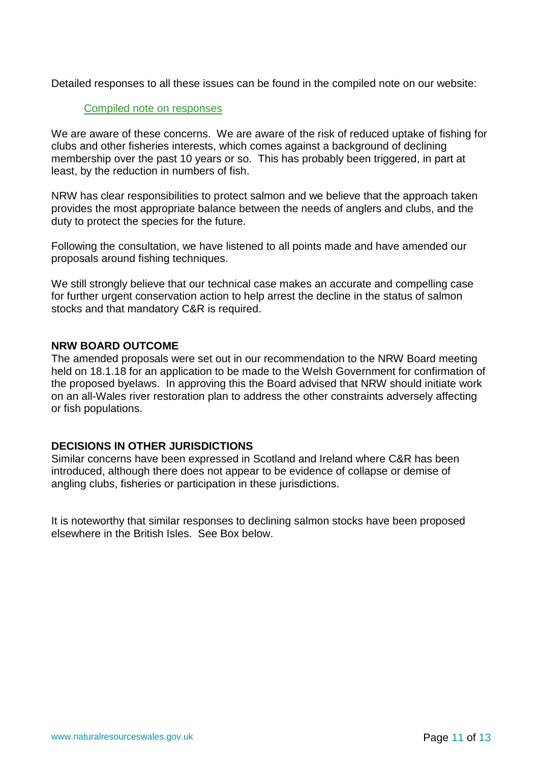Detailed responses to all these issues can be found in the compiled note on our website:

### [Compiled note on responses](http://naturalresources.wales/media/684347/180112-generic-theme-response.pdf)

We are aware of these concerns. We are aware of the risk of reduced uptake of fishing for clubs and other fisheries interests, which comes against a background of declining membership over the past 10 years or so. This has probably been triggered, in part at least, by the reduction in numbers of fish.

NRW has clear responsibilities to protect salmon and we believe that the approach taken provides the most appropriate balance between the needs of anglers and clubs, and the duty to protect the species for the future.

Following the consultation, we have listened to all points made and have amended our proposals around fishing techniques.

We still strongly believe that our technical case makes an accurate and compelling case for further urgent conservation action to help arrest the decline in the status of salmon stocks and that mandatory C&R is required.

### **NRW BOARD OUTCOME**

The amended proposals were set out in our recommendation to the NRW Board meeting held on 18.1.18 for an application to be made to the Welsh Government for confirmation of the proposed byelaws. In approving this the Board advised that NRW should initiate work on an all-Wales river restoration plan to address the other constraints adversely affecting or fish populations.

### **DECISIONS IN OTHER JURISDICTIONS**

Similar concerns have been expressed in Scotland and Ireland where C&R has been introduced, although there does not appear to be evidence of collapse or demise of angling clubs, fisheries or participation in these jurisdictions.

It is noteworthy that similar responses to declining salmon stocks have been proposed elsewhere in the British Isles. See Box below.